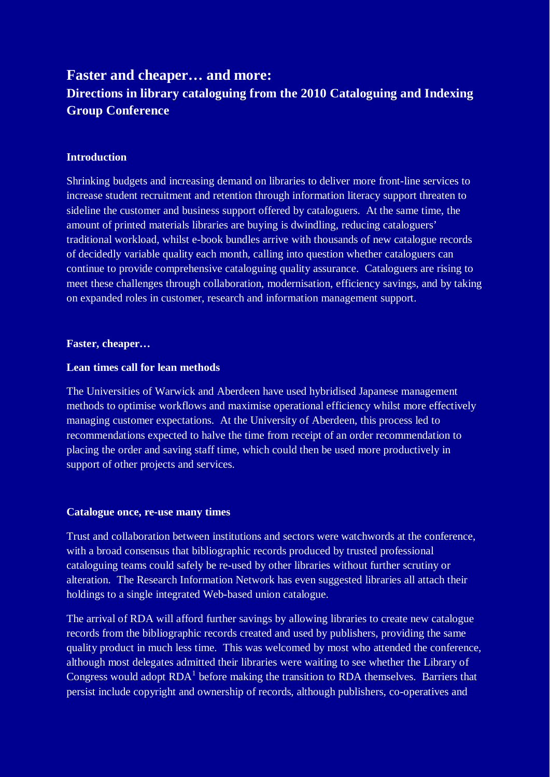# **Faster and cheaper… and more: Directions in library cataloguing from the 2010 Cataloguing and Indexing Group Conference**

# **Introduction**

Shrinking budgets and increasing demand on libraries to deliver more front-line services to increase student recruitment and retention through information literacy support threaten to sideline the customer and business support offered by cataloguers. At the same time, the amount of printed materials libraries are buying is dwindling, reducing cataloguers' traditional workload, whilst e-book bundles arrive with thousands of new catalogue records of decidedly variable quality each month, calling into question whether cataloguers can continue to provide comprehensive cataloguing quality assurance. Cataloguers are rising to meet these challenges through collaboration, modernisation, efficiency savings, and by taking on expanded roles in customer, research and information management support.

#### **Faster, cheaper…**

### **Lean times call for lean methods**

The Universities of Warwick and Aberdeen have used hybridised Japanese management methods to optimise workflows and maximise operational efficiency whilst more effectively managing customer expectations. At the University of Aberdeen, this process led to recommendations expected to halve the time from receipt of an order recommendation to placing the order and saving staff time, which could then be used more productively in support of other projects and services.

#### **Catalogue once, re-use many times**

Trust and collaboration between institutions and sectors were watchwords at the conference, with a broad consensus that bibliographic records produced by trusted professional cataloguing teams could safely be re-used by other libraries without further scrutiny or alteration. The Research Information Network has even suggested libraries all attach their holdings to a single integrated Web-based union catalogue.

The arrival of RDA will afford further savings by allowing libraries to create new catalogue records from the bibliographic records created and used by publishers, providing the same quality product in much less time. This was welcomed by most who attended the conference, although most delegates admitted their libraries were waiting to see whether the Library of Congress would adopt  $RDA<sup>1</sup>$  $RDA<sup>1</sup>$  $RDA<sup>1</sup>$  before making the transition to RDA themselves. Barriers that persist include copyright and ownership of records, although publishers, co-operatives and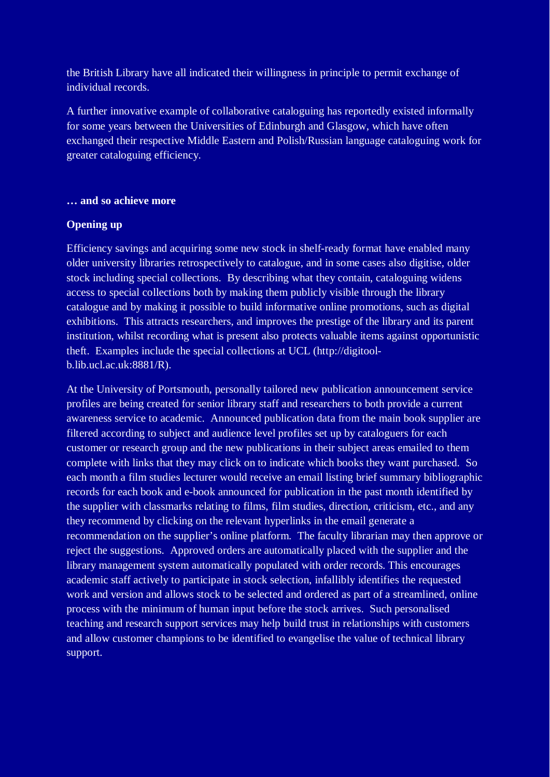the British Library have all indicated their willingness in principle to permit exchange of individual records.

A further innovative example of collaborative cataloguing has reportedly existed informally for some years between the Universities of Edinburgh and Glasgow, which have often exchanged their respective Middle Eastern and Polish/Russian language cataloguing work for greater cataloguing efficiency.

### **… and so achieve more**

## **Opening up**

Efficiency savings and acquiring some new stock in shelf-ready format have enabled many older university libraries retrospectively to catalogue, and in some cases also digitise, older stock including special collections. By describing what they contain, cataloguing widens access to special collections both by making them publicly visible through the library catalogue and by making it possible to build informative online promotions, such as digital exhibitions. This attracts researchers, and improves the prestige of the library and its parent institution, whilst recording what is present also protects valuable items against opportunistic theft. Examples include the special collections at UCL (http://digitoolb.lib.ucl.ac.uk:8881/R).

At the University of Portsmouth, personally tailored new publication announcement service profiles are being created for senior library staff and researchers to both provide a current awareness service to academic. Announced publication data from the main book supplier are filtered according to subject and audience level profiles set up by cataloguers for each customer or research group and the new publications in their subject areas emailed to them complete with links that they may click on to indicate which books they want purchased. So each month a film studies lecturer would receive an email listing brief summary bibliographic records for each book and e-book announced for publication in the past month identified by the supplier with classmarks relating to films, film studies, direction, criticism, etc., and any they recommend by clicking on the relevant hyperlinks in the email generate a recommendation on the supplier's online platform. The faculty librarian may then approve or reject the suggestions. Approved orders are automatically placed with the supplier and the library management system automatically populated with order records. This encourages academic staff actively to participate in stock selection, infallibly identifies the requested work and version and allows stock to be selected and ordered as part of a streamlined, online process with the minimum of human input before the stock arrives. Such personalised teaching and research support services may help build trust in relationships with customers and allow customer champions to be identified to evangelise the value of technical library support.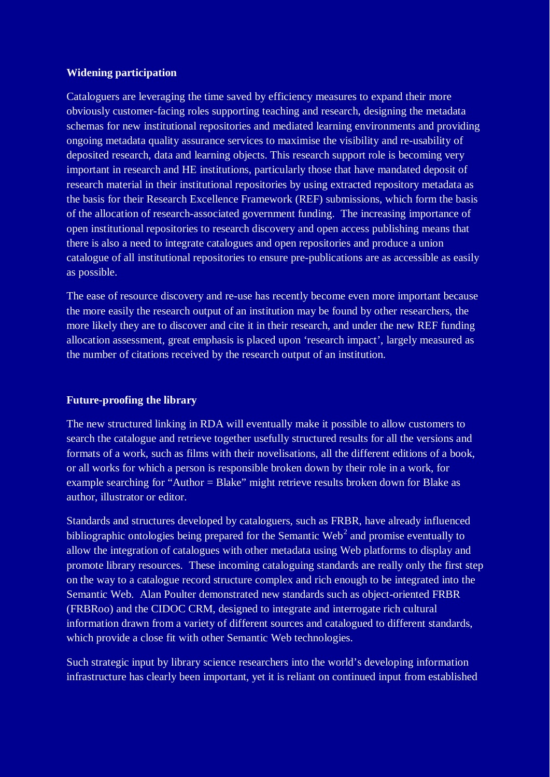### **Widening participation**

Cataloguers are leveraging the time saved by efficiency measures to expand their more obviously customer-facing roles supporting teaching and research, designing the metadata schemas for new institutional repositories and mediated learning environments and providing ongoing metadata quality assurance services to maximise the visibility and re-usability of deposited research, data and learning objects. This research support role is becoming very important in research and HE institutions, particularly those that have mandated deposit of research material in their institutional repositories by using extracted repository metadata as the basis for their Research Excellence Framework (REF) submissions, which form the basis of the allocation of research-associated government funding. The increasing importance of open institutional repositories to research discovery and open access publishing means that there is also a need to integrate catalogues and open repositories and produce a union catalogue of all institutional repositories to ensure pre-publications are as accessible as easily as possible.

The ease of resource discovery and re-use has recently become even more important because the more easily the research output of an institution may be found by other researchers, the more likely they are to discover and cite it in their research, and under the new REF funding allocation assessment, great emphasis is placed upon 'research impact', largely measured as the number of citations received by the research output of an institution.

## **Future-proofing the library**

The new structured linking in RDA will eventually make it possible to allow customers to search the catalogue and retrieve together usefully structured results for all the versions and formats of a work, such as films with their novelisations, all the different editions of a book, or all works for which a person is responsible broken down by their role in a work, for example searching for "Author = Blake" might retrieve results broken down for Blake as author, illustrator or editor.

Standards and structures developed by cataloguers, such as FRBR, have already influenced bibliographic ontologies being prepared for the Semantic Web<sup>[2](#page-3-1)</sup> and promise eventually to allow the integration of catalogues with other metadata using Web platforms to display and promote library resources. These incoming cataloguing standards are really only the first step on the way to a catalogue record structure complex and rich enough to be integrated into the Semantic Web. Alan Poulter demonstrated new standards such as object-oriented FRBR (FRBRoo) and the CIDOC CRM, designed to integrate and interrogate rich cultural information drawn from a variety of different sources and catalogued to different standards, which provide a close fit with other Semantic Web technologies.

Such strategic input by library science researchers into the world's developing information infrastructure has clearly been important, yet it is reliant on continued input from established